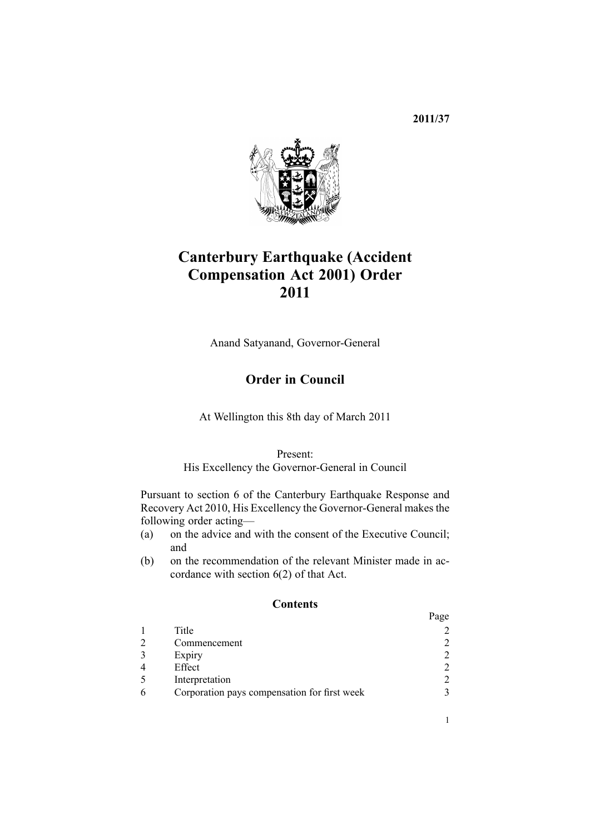**2011/37**



# **Canterbury Earthquake (Accident Compensation Act 2001) Order 2011**

Anand Satyanand, Governor-General

## **Order in Council**

At Wellington this 8th day of March 2011

Present:

His Excellency the Governor-General in Council

Pursuant to [section](http://www.legislation.govt.nz/pdflink.aspx?id=DLM3233036) 6 of the Canterbury Earthquake Response and Recovery Act 2010, His Excellency the Governor-General makes the following order acting—

- (a) on the advice and with the consent of the Executive Council; and
- (b) on the recommendation of the relevant Minister made in accordance with [section](http://www.legislation.govt.nz/pdflink.aspx?id=DLM3233036) 6(2) of that Act.

#### **Contents**

|                                              | Page |
|----------------------------------------------|------|
| Title                                        |      |
| Commencement                                 |      |
| Expiry                                       |      |
| Effect                                       |      |
| Interpretation                               |      |
| Corporation pays compensation for first week |      |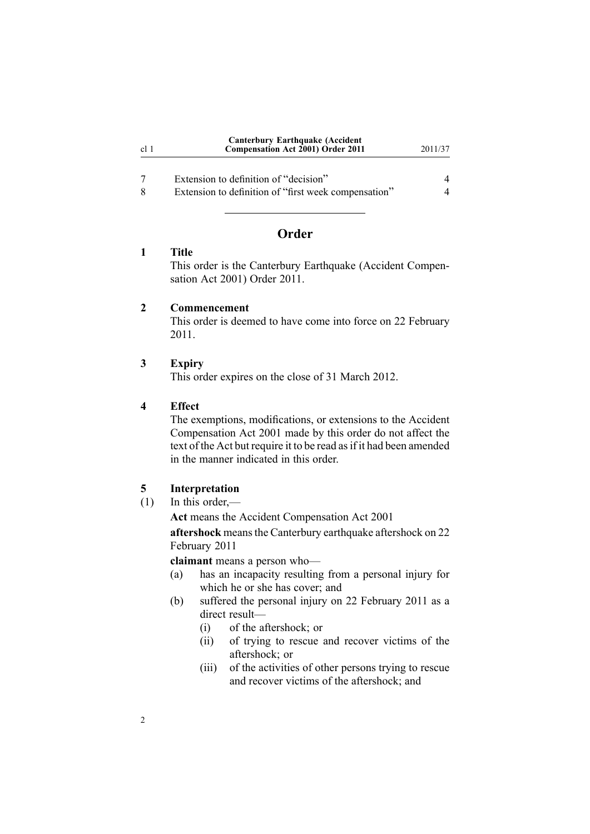<span id="page-1-0"></span>

| c11 | <b>Canterbury Earthquake (Accident</b> )<br><b>Compensation Act 2001) Order 2011</b> | 2011/37 |
|-----|--------------------------------------------------------------------------------------|---------|
|     | Extension to definition of "decision"                                                |         |

8 [Extension](#page-3-0) to definition of "first week compensation["](#page-3-0) [4](#page-3-0)

## **Order**

#### **1 Title**

This order is the Canterbury Earthquake (Accident Compensation Act 2001) Order 2011.

#### **2 Commencement**

This order is deemed to have come into force on 22 February 2011.

#### **3 Expiry**

This order expires on the close of 31 March 2012.

#### **4 Effect**

The exemptions, modifications, or extensions to the [Accident](http://www.legislation.govt.nz/pdflink.aspx?id=DLM99493) [Compensation](http://www.legislation.govt.nz/pdflink.aspx?id=DLM99493) Act 2001 made by this order do not affect the text of the Act but require it to be read as if it had been amended in the manner indicated in this order.

### **5 Interpretation**

(1) In this order,—

**Act** means the Accident [Compensation](http://www.legislation.govt.nz/pdflink.aspx?id=DLM99493) Act 2001

**aftershock** meansthe Canterbury earthquake aftershock on 22 February 2011

**claimant** means <sup>a</sup> person who—

- (a) has an incapacity resulting from <sup>a</sup> personal injury for which he or she has cover; and
- (b) suffered the personal injury on 22 February 2011 as <sup>a</sup> direct result—
	- (i) of the aftershock; or
	- (ii) of trying to rescue and recover victims of the aftershock; or
	- (iii) of the activities of other persons trying to rescue and recover victims of the aftershock; and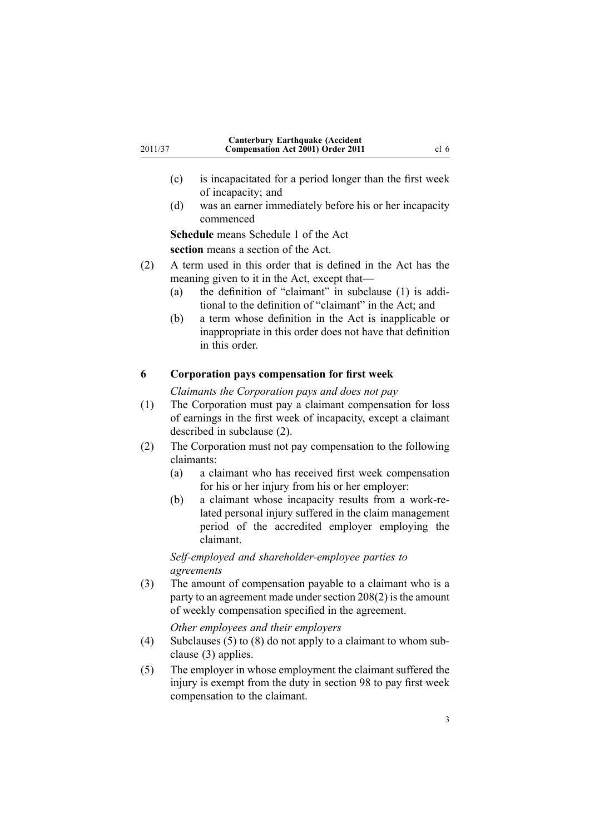- <span id="page-2-0"></span>(c) is incapacitated for <sup>a</sup> period longer than the first week of incapacity; and
- (d) was an earner immediately before his or her incapacity commenced

**Schedule** means [Schedule](http://www.legislation.govt.nz/pdflink.aspx?id=DLM104541) 1 of the Act **section** means <sup>a</sup> section of the Act.

- (2) A term used in this order that is defined in the Act has the meaning given to it in the Act, excep<sup>t</sup> that—
	- (a) the definition of "claimant" in subclause (1) is additional to the definition of "claimant" in the Act; and
	- (b) <sup>a</sup> term whose definition in the Act is inapplicable or inappropriate in this order does not have that definition in this order

#### **6 Corporation pays compensation for first week**

*Claimants the Corporation pays and does not pay*

- (1) The Corporation must pay <sup>a</sup> claimant compensation for loss of earnings in the first week of incapacity, excep<sup>t</sup> <sup>a</sup> claimant described in subclause (2).
- (2) The Corporation must not pay compensation to the following claimants:
	- (a) <sup>a</sup> claimant who has received first week compensation for his or her injury from his or her employer:
	- (b) <sup>a</sup> claimant whose incapacity results from <sup>a</sup> work-related personal injury suffered in the claim managemen<sup>t</sup> period of the accredited employer employing the claimant.

*Self-employed and shareholder-employee parties to agreements*

(3) The amount of compensation payable to <sup>a</sup> claimant who is <sup>a</sup> party to an agreement made under section  $208(2)$  is the amount of weekly compensation specified in the agreement.

*Other employees and their employers*

- (4) Subclauses (5) to (8) do not apply to <sup>a</sup> claimant to whom subclause (3) applies.
- (5) The employer in whose employment the claimant suffered the injury is exemp<sup>t</sup> from the duty in [section](http://www.legislation.govt.nz/pdflink.aspx?id=DLM101449) 98 to pay first week compensation to the claimant.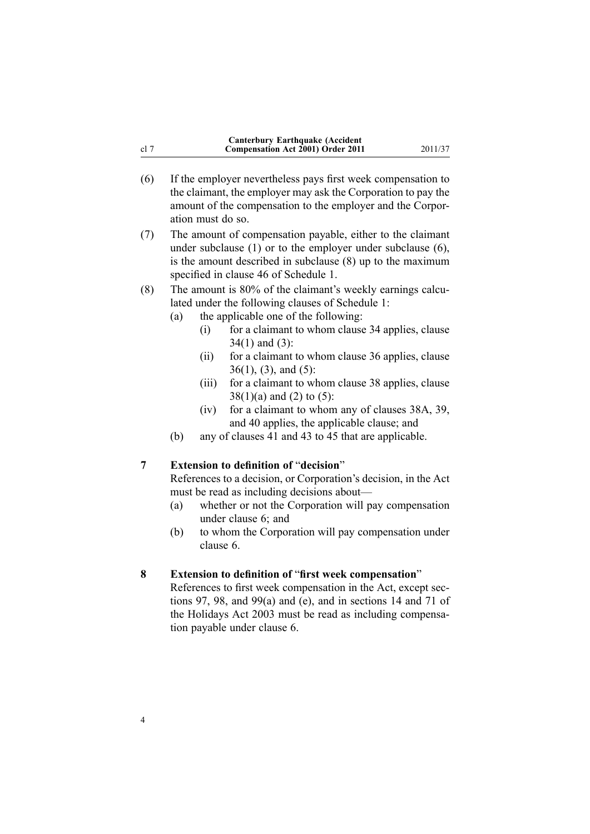<span id="page-3-0"></span>

| cl 7 |                                                                                                                                      | inici bury tan inquanc (Acciucin<br><b>Compensation Act 2001) Order 2011</b> | 2011/37 |  |
|------|--------------------------------------------------------------------------------------------------------------------------------------|------------------------------------------------------------------------------|---------|--|
| (6)  |                                                                                                                                      | If the employer nevertheless pays first week compensation to                 |         |  |
|      |                                                                                                                                      | the claimant, the employer may ask the Corporation to pay the                |         |  |
|      | amount of the compensation to the employer and the Corpor-                                                                           |                                                                              |         |  |
|      |                                                                                                                                      | ation must do so.                                                            |         |  |
| (7)  |                                                                                                                                      | The amount of compensation payable, either to the claimant                   |         |  |
|      | under subclause $(1)$ or to the employer under subclause $(6)$ ,                                                                     |                                                                              |         |  |
|      |                                                                                                                                      | is the amount described in subclause (8) up to the maximum                   |         |  |
|      |                                                                                                                                      | specified in clause 46 of Schedule 1.                                        |         |  |
| (8)  |                                                                                                                                      | The amount is 80% of the claimant's weekly earnings calcu-                   |         |  |
|      |                                                                                                                                      | lated under the following clauses of Schedule 1:                             |         |  |
|      | (a)                                                                                                                                  | the applicable one of the following:                                         |         |  |
|      |                                                                                                                                      | for a claimant to whom clause 34 applies, clause<br>(i)                      |         |  |
|      |                                                                                                                                      | $34(1)$ and $(3)$ :                                                          |         |  |
|      |                                                                                                                                      | (ii)<br>for a claimant to whom clause 36 applies, clause                     |         |  |
|      |                                                                                                                                      | $36(1)$ , (3), and (5):                                                      |         |  |
|      |                                                                                                                                      | for a claimant to whom clause 38 applies, clause<br>(iii)                    |         |  |
|      |                                                                                                                                      | $38(1)(a)$ and (2) to (5):                                                   |         |  |
|      |                                                                                                                                      | for a claimant to whom any of clauses 38A, 39,<br>(iv)                       |         |  |
|      |                                                                                                                                      | and 40 applies, the applicable clause; and                                   |         |  |
|      | (b)                                                                                                                                  | any of clauses 41 and 43 to 45 that are applicable.                          |         |  |
|      |                                                                                                                                      |                                                                              |         |  |
| 7    |                                                                                                                                      | <b>Extension to definition of "decision"</b>                                 |         |  |
|      | References to a decision, or Corporation's decision, in the Act                                                                      |                                                                              |         |  |
|      |                                                                                                                                      | must be read as including decisions about—                                   |         |  |
|      | (a)                                                                                                                                  | whether or not the Corporation will pay compensation                         |         |  |
|      |                                                                                                                                      | under clause 6; and                                                          |         |  |
|      | (b)                                                                                                                                  | to whom the Corporation will pay compensation under                          |         |  |
|      |                                                                                                                                      | clause 6.                                                                    |         |  |
|      |                                                                                                                                      |                                                                              |         |  |
| 8    |                                                                                                                                      | Extension to definition of "first week compensation"                         |         |  |
|      | References to first week compensation in the Act, except sec-<br>tions 97, 98, and 99 $(a)$ and $(e)$ , and in sections 14 and 71 of |                                                                              |         |  |
|      |                                                                                                                                      | the Holidays Act 2003 must be read as including compensa-                    |         |  |
|      |                                                                                                                                      | tion payable under clause 6.                                                 |         |  |
|      |                                                                                                                                      |                                                                              |         |  |
|      |                                                                                                                                      |                                                                              |         |  |
|      |                                                                                                                                      |                                                                              |         |  |
|      |                                                                                                                                      |                                                                              |         |  |

**Canterbury Earthquake (Accident**